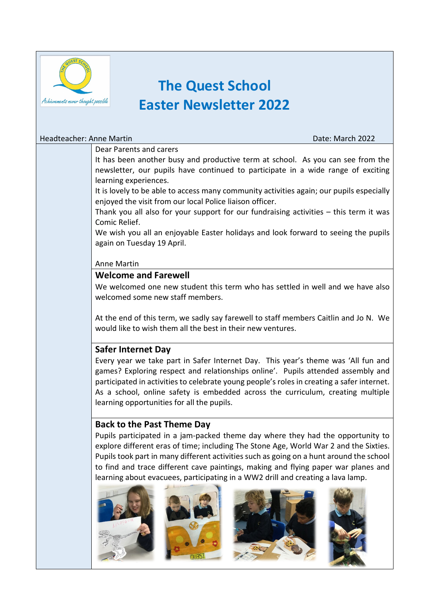

# **The Quest School Easter Newsletter 2022**

#### Headteacher: Anne Martin Date: March 2022

#### Dear Parents and carers

It has been another busy and productive term at school. As you can see from the newsletter, our pupils have continued to participate in a wide range of exciting learning experiences.

It is lovely to be able to access many community activities again; our pupils especially enjoyed the visit from our local Police liaison officer.

Thank you all also for your support for our fundraising activities – this term it was Comic Relief.

We wish you all an enjoyable Easter holidays and look forward to seeing the pupils again on Tuesday 19 April.

#### Anne Martin

# **Welcome and Farewell**

We welcomed one new student this term who has settled in well and we have also welcomed some new staff members.

At the end of this term, we sadly say farewell to staff members Caitlin and Jo N. We would like to wish them all the best in their new ventures.

# **Safer Internet Day**

Every year we take part in Safer Internet Day. This year's theme was 'All fun and games? Exploring respect and relationships online'. Pupils attended assembly and participated in activities to celebrate young people's roles in creating a safer internet. As a school, online safety is embedded across the curriculum, creating multiple learning opportunities for all the pupils.

# **Back to the Past Theme Day**

Pupils participated in a jam-packed theme day where they had the opportunity to explore different eras of time; including The Stone Age, World War 2 and the Sixties. Pupils took part in many different activities such as going on a hunt around the school to find and trace different cave paintings, making and flying paper war planes and learning about evacuees, participating in a WW2 drill and creating a lava lamp.





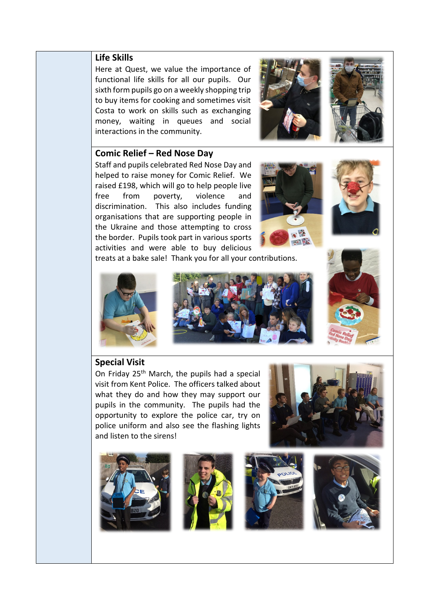# **Life Skills**

Here at Quest, we value the importance of functional life skills for all our pupils. Our sixth form pupils go on a weekly shopping trip to buy items for cooking and sometimes visit Costa to work on skills such as exchanging money, waiting in queues and social interactions in the community.



#### **Comic Relief – Red Nose Day**

Staff and pupils celebrated Red Nose Day and helped to raise money for Comic Relief. We raised £198, which will go to help people live free from poverty, violence and discrimination. This also includes funding organisations that are supporting people in the Ukraine and those attempting to cross the border. Pupils took part in various sports activities and were able to buy delicious





treats at a bake sale! Thank you for all your contributions.





# **Special Visit**

On Friday 25<sup>th</sup> March, the pupils had a special visit from Kent Police. The officers talked about what they do and how they may support our pupils in the community. The pupils had the opportunity to explore the police car, try on police uniform and also see the flashing lights and listen to the sirens!